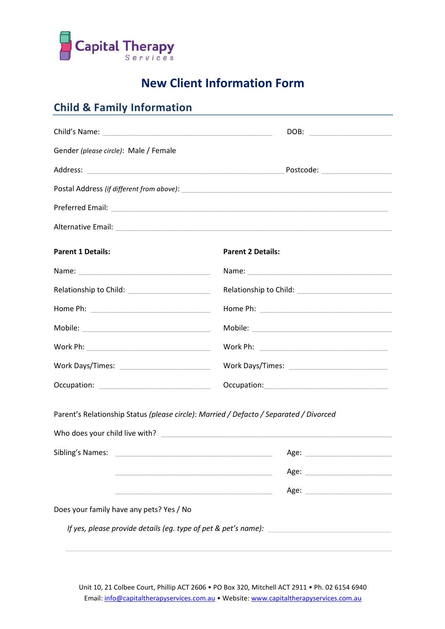

# **New Client Information Form**

## **Child & Family Information**

| Gender (please circle): Male / Female                                                                                |                                                                                                                                                                                                                                |
|----------------------------------------------------------------------------------------------------------------------|--------------------------------------------------------------------------------------------------------------------------------------------------------------------------------------------------------------------------------|
|                                                                                                                      |                                                                                                                                                                                                                                |
|                                                                                                                      |                                                                                                                                                                                                                                |
|                                                                                                                      |                                                                                                                                                                                                                                |
| Alternative Email: experience of the contract of the contract of the contract of the contract of the contract of     |                                                                                                                                                                                                                                |
| <b>Parent 1 Details:</b>                                                                                             | <b>Parent 2 Details:</b>                                                                                                                                                                                                       |
|                                                                                                                      |                                                                                                                                                                                                                                |
| Relationship to Child: _________________________                                                                     |                                                                                                                                                                                                                                |
|                                                                                                                      |                                                                                                                                                                                                                                |
|                                                                                                                      |                                                                                                                                                                                                                                |
|                                                                                                                      |                                                                                                                                                                                                                                |
|                                                                                                                      |                                                                                                                                                                                                                                |
|                                                                                                                      |                                                                                                                                                                                                                                |
| Parent's Relationship Status (please circle): Married / Defacto / Separated / Divorced                               |                                                                                                                                                                                                                                |
| Sibling's Names:                                                                                                     | Age:                                                                                                                                                                                                                           |
| <u> Alexandria de la construcción de la construcción de la construcción de la construcción de la construcción de</u> |                                                                                                                                                                                                                                |
|                                                                                                                      | Age: North Management of the Management of the Management of the Management of the Management of the Management of the Management of the Management of the Management of the Management of the Management of the Management of |
| Does your family have any pets? Yes / No                                                                             |                                                                                                                                                                                                                                |
|                                                                                                                      |                                                                                                                                                                                                                                |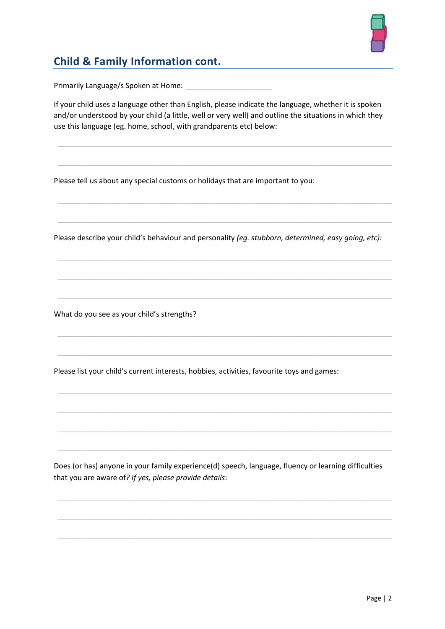

### **Child & Family Information cont.**

Primarily Language/s Spoken at Home:

If your child uses a language other than English, please indicate the language, whether it is spoken and/or understood by your child (a little, well or very well) and outline the situations in which they use this language (eg. home, school, with grandparents etc) below:

\_\_\_\_\_\_\_\_\_\_\_\_\_\_\_\_\_\_\_\_\_\_\_\_\_\_\_\_\_\_\_\_\_\_\_\_\_\_\_\_\_\_\_\_\_\_\_\_\_\_\_\_\_\_\_\_\_\_\_\_\_\_\_\_\_\_\_\_\_\_\_\_\_\_\_\_\_\_\_\_\_

\_\_\_\_\_\_\_\_\_\_\_\_\_\_\_\_\_\_\_\_\_\_\_\_\_\_\_\_\_\_\_\_\_\_\_\_\_\_\_\_\_\_\_\_\_\_\_\_\_\_\_\_\_\_\_\_\_\_\_\_\_\_\_\_\_\_\_\_\_\_\_\_\_\_\_\_\_\_\_\_\_

\_\_\_\_\_\_\_\_\_\_\_\_\_\_\_\_\_\_\_\_\_\_\_\_\_\_\_\_\_\_\_\_\_\_\_\_\_\_\_\_\_\_\_\_\_\_\_\_\_\_\_\_\_\_\_\_\_\_\_\_\_\_\_\_\_\_\_\_\_\_\_\_\_\_\_\_\_\_\_\_\_

\_\_\_\_\_\_\_\_\_\_\_\_\_\_\_\_\_\_\_\_\_\_\_\_\_\_\_\_\_\_\_\_\_\_\_\_\_\_\_\_\_\_\_\_\_\_\_\_\_\_\_\_\_\_\_\_\_\_\_\_\_\_\_\_\_\_\_\_\_\_\_\_\_\_\_\_\_\_\_\_\_

\_\_\_\_\_\_\_\_\_\_\_\_\_\_\_\_\_\_\_\_\_\_\_\_\_\_\_\_\_\_\_\_\_\_\_\_\_\_\_\_\_\_\_\_\_\_\_\_\_\_\_\_\_\_\_\_\_\_\_\_\_\_\_\_\_\_\_\_\_\_\_\_\_\_\_\_\_\_\_\_\_

\_\_\_\_\_\_\_\_\_\_\_\_\_\_\_\_\_\_\_\_\_\_\_\_\_\_\_\_\_\_\_\_\_\_\_\_\_\_\_\_\_\_\_\_\_\_\_\_\_\_\_\_\_\_\_\_\_\_\_\_\_\_\_\_\_\_\_\_\_\_\_\_\_\_\_\_\_\_\_\_\_

Please tell us about any special customs or holidays that are important to you:

Please describe your child's behaviour and personality *(eg. stubborn, determined, easy going, etc):*

What do you see as your child's strengths?

Please list your child's current interests, hobbies, activities, favourite toys and games:

Does (or has) anyone in your family experience(d) speech, language, fluency or learning difficulties that you are aware of*? If yes, please provide details*: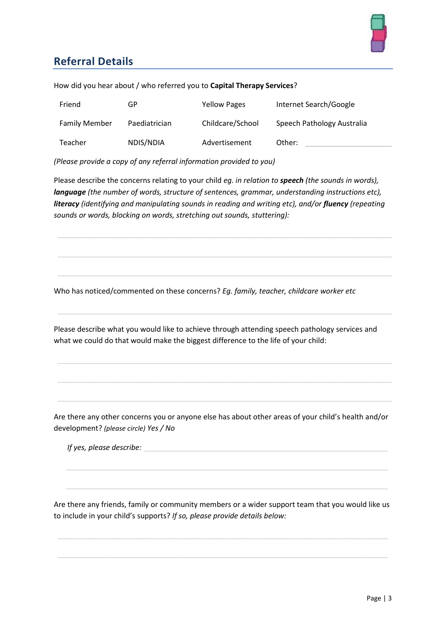

### **Referral Details**

| Friend               | GP            | <b>Yellow Pages</b> | Internet Search/Google     |
|----------------------|---------------|---------------------|----------------------------|
| <b>Family Member</b> | Paediatrician | Childcare/School    | Speech Pathology Australia |
| Teacher              | NDIS/NDIA     | Advertisement       | Other:                     |

How did you hear about / who referred you to **Capital Therapy Services**?

*(Please provide a copy of any referral information provided to you)*

Please describe the concerns relating to your child *eg. in relation to speech (the sounds in words), language (the number of words, structure of sentences, grammar, understanding instructions etc), literacy* (identifying and manipulating sounds in reading and writing etc), and/or *fluency* (repeating *sounds or words, blocking on words, stretching out sounds, stuttering):*

Who has noticed/commented on these concerns? *Eg. family, teacher, childcare worker etc*

Please describe what you would like to achieve through attending speech pathology services and what we could do that would make the biggest difference to the life of your child:

Are there any other concerns you or anyone else has about other areas of your child's health and/or development? *(please circle) Yes / No*

*If yes, please describe:* 

Are there any friends, family or community members or a wider support team that you would like us to include in your child's supports? *If so, please provide details below:*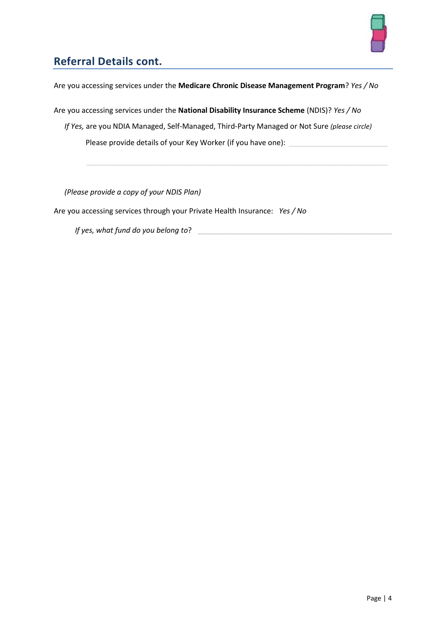

### **Referral Details cont.**

Are you accessing services under the **Medicare Chronic Disease Management Program**? *Yes / No*

Are you accessing services under the **National Disability Insurance Scheme** (NDIS)? *Yes / No*

*If Yes,* are you NDIA Managed, Self-Managed, Third-Party Managed or Not Sure *(please circle)* Please provide details of your Key Worker (if you have one): \_

*(Please provide a copy of your NDIS Plan)*

Are you accessing services through your Private Health Insurance: *Yes / No*

*If yes, what fund do you belong to*?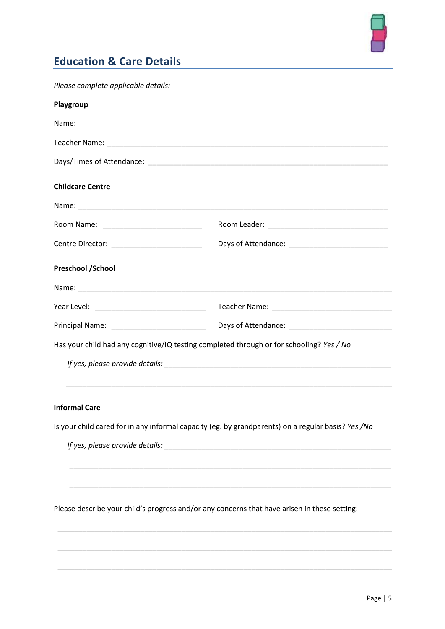

### **Education & Care Details**

| Please complete applicable details: |                                                                                                                                                                                                                                      |
|-------------------------------------|--------------------------------------------------------------------------------------------------------------------------------------------------------------------------------------------------------------------------------------|
| Playgroup                           |                                                                                                                                                                                                                                      |
|                                     |                                                                                                                                                                                                                                      |
|                                     |                                                                                                                                                                                                                                      |
|                                     |                                                                                                                                                                                                                                      |
| <b>Childcare Centre</b>             |                                                                                                                                                                                                                                      |
|                                     |                                                                                                                                                                                                                                      |
|                                     |                                                                                                                                                                                                                                      |
|                                     |                                                                                                                                                                                                                                      |
| <b>Preschool /School</b>            |                                                                                                                                                                                                                                      |
|                                     | Name: <u>contract and contract and contract and contract and contract and contract and contract and contract and contract and contract and contract and contract and contract and contract and contract and contract and contrac</u> |
|                                     |                                                                                                                                                                                                                                      |
|                                     |                                                                                                                                                                                                                                      |
|                                     | Has your child had any cognitive/IQ testing completed through or for schooling? Yes / No                                                                                                                                             |
|                                     |                                                                                                                                                                                                                                      |
| <b>Informal Care</b>                |                                                                                                                                                                                                                                      |
|                                     | Is your child cared for in any informal capacity (eg. by grandparents) on a regular basis? Yes /No                                                                                                                                   |
|                                     |                                                                                                                                                                                                                                      |
|                                     |                                                                                                                                                                                                                                      |
|                                     | Please describe your child's progress and/or any concerns that have arisen in these setting:                                                                                                                                         |
|                                     |                                                                                                                                                                                                                                      |
|                                     |                                                                                                                                                                                                                                      |
|                                     |                                                                                                                                                                                                                                      |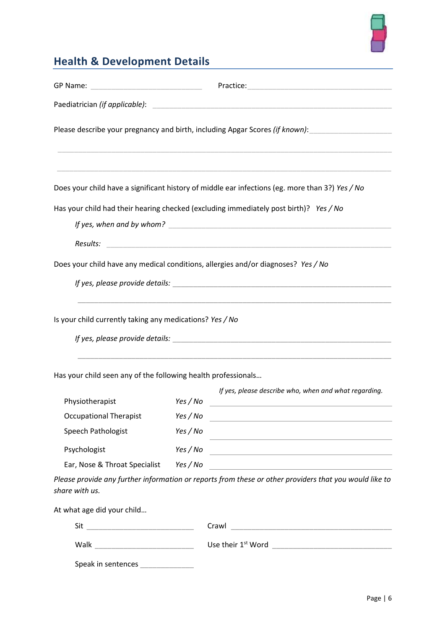

# **Health & Development Details**

|                                                               |          | Please describe your pregnancy and birth, including Apgar Scores (if known):                                    |
|---------------------------------------------------------------|----------|-----------------------------------------------------------------------------------------------------------------|
|                                                               |          |                                                                                                                 |
|                                                               |          | Does your child have a significant history of middle ear infections (eg. more than 3?) Yes / No                 |
|                                                               |          | Has your child had their hearing checked (excluding immediately post birth)? Yes / No                           |
|                                                               |          |                                                                                                                 |
| Results:                                                      |          |                                                                                                                 |
|                                                               |          | Does your child have any medical conditions, allergies and/or diagnoses? Yes / No                               |
|                                                               |          |                                                                                                                 |
| Is your child currently taking any medications? Yes / No      |          |                                                                                                                 |
|                                                               |          | If yes, please provide details: example of the state of the state of the state of the state of the state of the |
| Has your child seen any of the following health professionals |          |                                                                                                                 |
| Physiotherapist                                               | Yes / No | If yes, please describe who, when and what regarding.                                                           |
| <b>Occupational Therapist</b>                                 | Yes / No |                                                                                                                 |
| Speech Pathologist                                            | Yes / No | <u> 1989 - Johann Barn, amerikansk politiker (d. 1989)</u>                                                      |
| Psychologist                                                  | Yes / No |                                                                                                                 |
| Ear, Nose & Throat Specialist                                 | Yes / No |                                                                                                                 |
| share with us.                                                |          | Please provide any further information or reports from these or other providers that you would like to          |
| At what age did your child                                    |          |                                                                                                                 |

| Sit                | Crawl                          |
|--------------------|--------------------------------|
| Walk               | Use their 1 <sup>st</sup> Word |
| Speak in sentences |                                |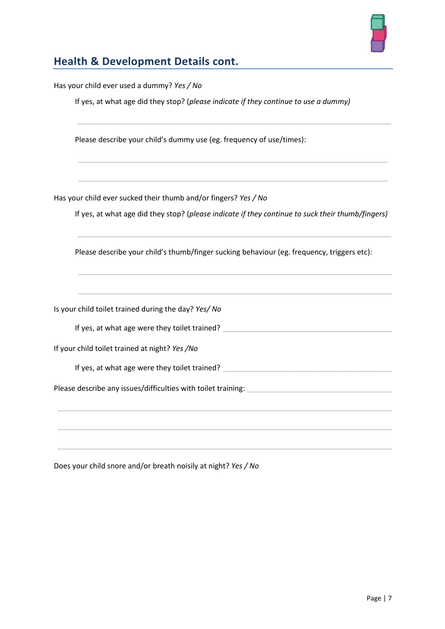

# **Health & Development Details cont.**

| Has your child ever used a dummy? Yes / No                                                        |
|---------------------------------------------------------------------------------------------------|
| If yes, at what age did they stop? (please indicate if they continue to use a dummy)              |
| Please describe your child's dummy use (eg. frequency of use/times):                              |
| Has your child ever sucked their thumb and/or fingers? Yes / No                                   |
| If yes, at what age did they stop? (please indicate if they continue to suck their thumb/fingers) |
| Please describe your child's thumb/finger sucking behaviour (eg. frequency, triggers etc):        |
|                                                                                                   |
| Is your child toilet trained during the day? Yes/ No                                              |
| If yes, at what age were they toilet trained?                                                     |
| If your child toilet trained at night? Yes /No                                                    |
| If yes, at what age were they toilet trained? __________________________________                  |
|                                                                                                   |
|                                                                                                   |
|                                                                                                   |
| $\blacksquare$                                                                                    |

Does your child snore and/or breath noisily at night? *Yes / No*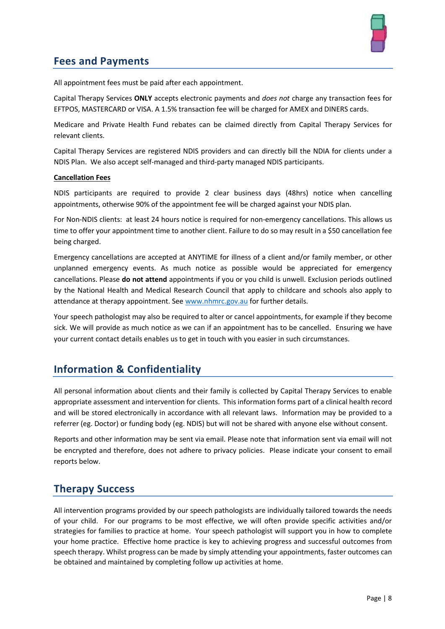

#### **Fees and Payments**

All appointment fees must be paid after each appointment.

Capital Therapy Services **ONLY** accepts electronic payments and *does not* charge any transaction fees for EFTPOS, MASTERCARD or VISA. A 1.5% transaction fee will be charged for AMEX and DINERS cards.

Medicare and Private Health Fund rebates can be claimed directly from Capital Therapy Services for relevant clients.

Capital Therapy Services are registered NDIS providers and can directly bill the NDIA for clients under a NDIS Plan. We also accept self-managed and third-party managed NDIS participants.

#### **Cancellation Fees**

NDIS participants are required to provide 2 clear business days (48hrs) notice when cancelling appointments, otherwise 90% of the appointment fee will be charged against your NDIS plan.

For Non-NDIS clients: at least 24 hours notice is required for non-emergency cancellations. This allows us time to offer your appointment time to another client. Failure to do so may result in a \$50 cancellation fee being charged.

Emergency cancellations are accepted at ANYTIME for illness of a client and/or family member, or other unplanned emergency events. As much notice as possible would be appreciated for emergency cancellations. Please **do not attend** appointments if you or you child is unwell. Exclusion periods outlined by the National Health and Medical Research Council that apply to childcare and schools also apply to attendance at therapy appointment. See [www.nhmrc.gov.au](http://www.nhmrc.gov.au/) for further details.

Your speech pathologist may also be required to alter or cancel appointments, for example if they become sick. We will provide as much notice as we can if an appointment has to be cancelled. Ensuring we have your current contact details enables us to get in touch with you easier in such circumstances.

#### **Information & Confidentiality**

All personal information about clients and their family is collected by Capital Therapy Services to enable appropriate assessment and intervention for clients. This information forms part of a clinical health record and will be stored electronically in accordance with all relevant laws. Information may be provided to a referrer (eg. Doctor) or funding body (eg. NDIS) but will not be shared with anyone else without consent.

Reports and other information may be sent via email. Please note that information sent via email will not be encrypted and therefore, does not adhere to privacy policies. Please indicate your consent to email reports below.

#### **Therapy Success**

All intervention programs provided by our speech pathologists are individually tailored towards the needs of your child. For our programs to be most effective, we will often provide specific activities and/or strategies for families to practice at home. Your speech pathologist will support you in how to complete your home practice. Effective home practice is key to achieving progress and successful outcomes from speech therapy. Whilst progress can be made by simply attending your appointments, faster outcomes can be obtained and maintained by completing follow up activities at home.